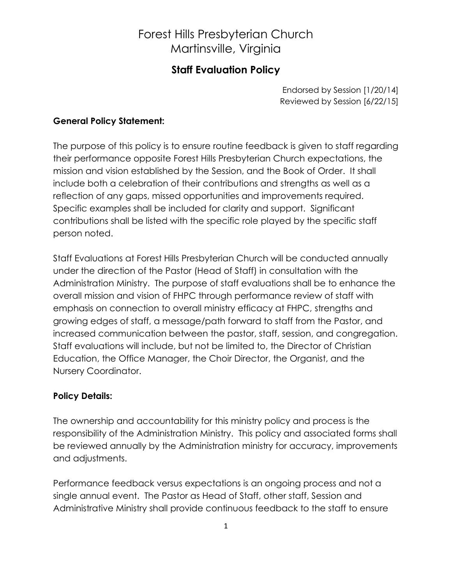## Forest Hills Presbyterian Church Martinsville, Virginia

### **Staff Evaluation Policy**

Endorsed by Session [1/20/14] Reviewed by Session [6/22/15]

#### **General Policy Statement:**

The purpose of this policy is to ensure routine feedback is given to staff regarding their performance opposite Forest Hills Presbyterian Church expectations, the mission and vision established by the Session, and the Book of Order. It shall include both a celebration of their contributions and strengths as well as a reflection of any gaps, missed opportunities and improvements required. Specific examples shall be included for clarity and support. Significant contributions shall be listed with the specific role played by the specific staff person noted.

Staff Evaluations at Forest Hills Presbyterian Church will be conducted annually under the direction of the Pastor (Head of Staff) in consultation with the Administration Ministry. The purpose of staff evaluations shall be to enhance the overall mission and vision of FHPC through performance review of staff with emphasis on connection to overall ministry efficacy at FHPC, strengths and growing edges of staff, a message/path forward to staff from the Pastor, and increased communication between the pastor, staff, session, and congregation. Staff evaluations will include, but not be limited to, the Director of Christian Education, the Office Manager, the Choir Director, the Organist, and the Nursery Coordinator.

#### **Policy Details:**

The ownership and accountability for this ministry policy and process is the responsibility of the Administration Ministry. This policy and associated forms shall be reviewed annually by the Administration ministry for accuracy, improvements and adjustments.

Performance feedback versus expectations is an ongoing process and not a single annual event. The Pastor as Head of Staff, other staff, Session and Administrative Ministry shall provide continuous feedback to the staff to ensure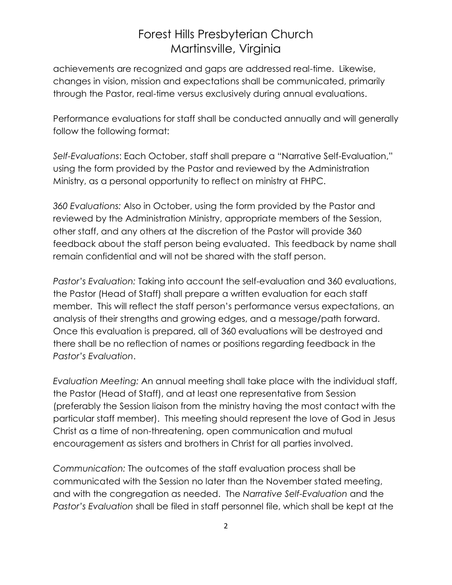### Forest Hills Presbyterian Church Martinsville, Virginia

achievements are recognized and gaps are addressed real-time. Likewise, changes in vision, mission and expectations shall be communicated, primarily through the Pastor, real-time versus exclusively during annual evaluations.

Performance evaluations for staff shall be conducted annually and will generally follow the following format:

*Self-Evaluations*: Each October, staff shall prepare a "Narrative Self-Evaluation," using the form provided by the Pastor and reviewed by the Administration Ministry, as a personal opportunity to reflect on ministry at FHPC.

*360 Evaluations:* Also in October, using the form provided by the Pastor and reviewed by the Administration Ministry, appropriate members of the Session, other staff, and any others at the discretion of the Pastor will provide 360 feedback about the staff person being evaluated. This feedback by name shall remain confidential and will not be shared with the staff person.

*Pastor's Evaluation:* Taking into account the self-evaluation and 360 evaluations, the Pastor (Head of Staff) shall prepare a written evaluation for each staff member. This will reflect the staff person's performance versus expectations, an analysis of their strengths and growing edges, and a message/path forward. Once this evaluation is prepared, all of 360 evaluations will be destroyed and there shall be no reflection of names or positions regarding feedback in the *Pastor's Evaluation*.

*Evaluation Meeting:* An annual meeting shall take place with the individual staff, the Pastor (Head of Staff), and at least one representative from Session (preferably the Session liaison from the ministry having the most contact with the particular staff member). This meeting should represent the love of God in Jesus Christ as a time of non-threatening, open communication and mutual encouragement as sisters and brothers in Christ for all parties involved.

*Communication:* The outcomes of the staff evaluation process shall be communicated with the Session no later than the November stated meeting, and with the congregation as needed. The *Narrative Self-Evaluation* and the *Pastor's Evaluation* shall be filed in staff personnel file, which shall be kept at the